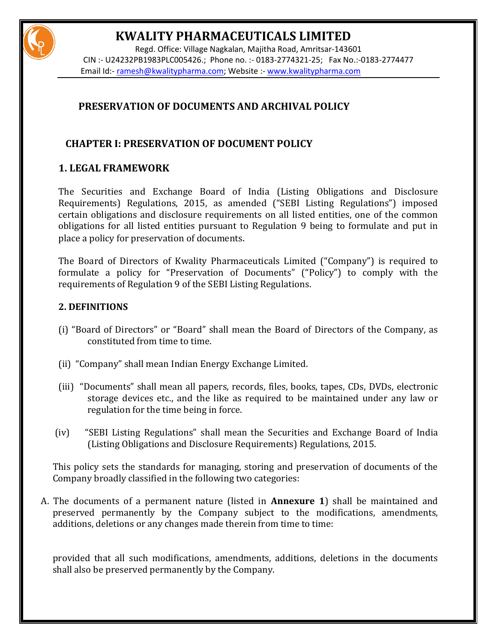# **KWALITY PHARMACEUTICALS LIMITED**

Regd. Office: Village Nagkalan, Majitha Road, Amritsar-143601 CIN :- U24232PB1983PLC005426.; Phone no. :- 0183-2774321-25; Fax No.:-0183-2774477 Email Id:- [ramesh@kwalitypharma.com;](mailto:ramesh@kwalitypharma.com) Website :- [www.kwalitypharma.com](http://www.kwalitypharma.com/)

# **PRESERVATION OF DOCUMENTS AND ARCHIVAL POLICY**

# **CHAPTER I: PRESERVATION OF DOCUMENT POLICY**

## **1. LEGAL FRAMEWORK**

The Securities and Exchange Board of India (Listing Obligations and Disclosure Requirements) Regulations, 2015, as amended ("SEBI Listing Regulations") imposed certain obligations and disclosure requirements on all listed entities, one of the common obligations for all listed entities pursuant to Regulation 9 being to formulate and put in place a policy for preservation of documents.

The Board of Directors of Kwality Pharmaceuticals Limited ("Company") is required to formulate a policy for "Preservation of Documents" ("Policy") to comply with the requirements of Regulation 9 of the SEBI Listing Regulations.

### **2. DEFINITIONS**

- (i) "Board of Directors" or "Board" shall mean the Board of Directors of the Company, as constituted from time to time.
- (ii) "Company" shall mean Indian Energy Exchange Limited.
- (iii) "Documents" shall mean all papers, records, files, books, tapes, CDs, DVDs, electronic storage devices etc., and the like as required to be maintained under any law or regulation for the time being in force.
- (iv) "SEBI Listing Regulations" shall mean the Securities and Exchange Board of India (Listing Obligations and Disclosure Requirements) Regulations, 2015.

This policy sets the standards for managing, storing and preservation of documents of the Company broadly classified in the following two categories:

A. The documents of a permanent nature (listed in **Annexure 1**) shall be maintained and preserved permanently by the Company subject to the modifications, amendments, additions, deletions or any changes made therein from time to time:

provided that all such modifications, amendments, additions, deletions in the documents shall also be preserved permanently by the Company.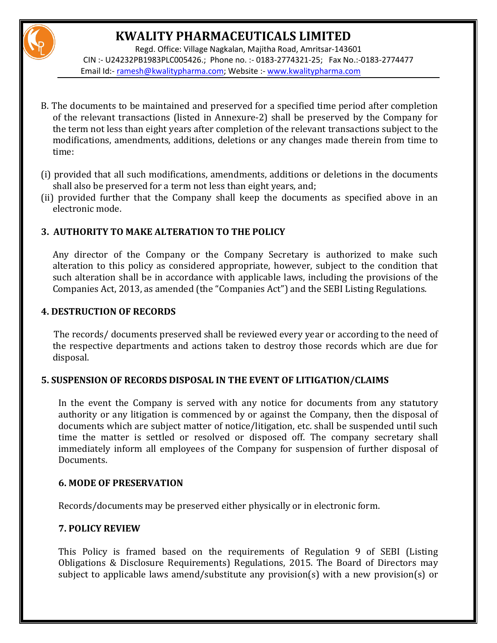# **KWALITY PHARMACEUTICALS LIMITED**

Regd. Office: Village Nagkalan, Majitha Road, Amritsar-143601 CIN :- U24232PB1983PLC005426.; Phone no. :- 0183-2774321-25; Fax No.:-0183-2774477 Email Id:- [ramesh@kwalitypharma.com;](mailto:ramesh@kwalitypharma.com) Website :- [www.kwalitypharma.com](http://www.kwalitypharma.com/)

- B. The documents to be maintained and preserved for a specified time period after completion of the relevant transactions (listed in Annexure-2) shall be preserved by the Company for the term not less than eight years after completion of the relevant transactions subject to the modifications, amendments, additions, deletions or any changes made therein from time to time:
- (i) provided that all such modifications, amendments, additions or deletions in the documents shall also be preserved for a term not less than eight years, and;
- (ii) provided further that the Company shall keep the documents as specified above in an electronic mode.

## **3. AUTHORITY TO MAKE ALTERATION TO THE POLICY**

Any director of the Company or the Company Secretary is authorized to make such alteration to this policy as considered appropriate, however, subject to the condition that such alteration shall be in accordance with applicable laws, including the provisions of the Companies Act, 2013, as amended (the "Companies Act") and the SEBI Listing Regulations.

## **4. DESTRUCTION OF RECORDS**

 The records/ documents preserved shall be reviewed every year or according to the need of the respective departments and actions taken to destroy those records which are due for disposal.

### **5. SUSPENSION OF RECORDS DISPOSAL IN THE EVENT OF LITIGATION/CLAIMS**

In the event the Company is served with any notice for documents from any statutory authority or any litigation is commenced by or against the Company, then the disposal of documents which are subject matter of notice/litigation, etc. shall be suspended until such time the matter is settled or resolved or disposed off. The company secretary shall immediately inform all employees of the Company for suspension of further disposal of Documents.

### **6. MODE OF PRESERVATION**

Records/documents may be preserved either physically or in electronic form.

## **7. POLICY REVIEW**

This Policy is framed based on the requirements of Regulation 9 of SEBI (Listing Obligations & Disclosure Requirements) Regulations, 2015. The Board of Directors may subject to applicable laws amend/substitute any provision(s) with a new provision(s) or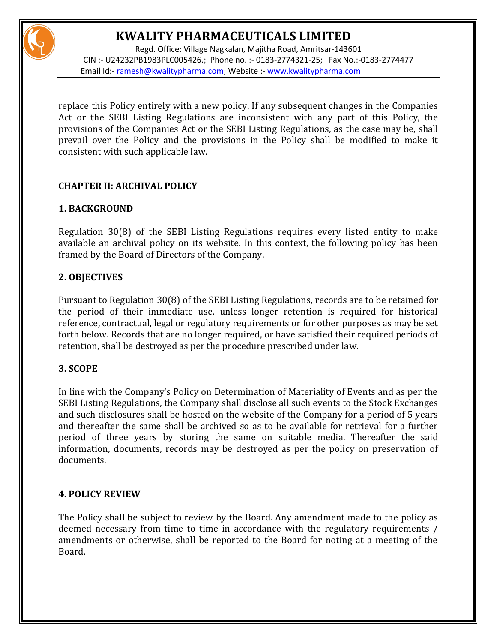# **KWALITY PHARMACEUTICALS LIMITED**



Regd. Office: Village Nagkalan, Majitha Road, Amritsar-143601 CIN :- U24232PB1983PLC005426.; Phone no. :- 0183-2774321-25; Fax No.:-0183-2774477 Email Id:- [ramesh@kwalitypharma.com;](mailto:ramesh@kwalitypharma.com) Website :- [www.kwalitypharma.com](http://www.kwalitypharma.com/)

replace this Policy entirely with a new policy. If any subsequent changes in the Companies Act or the SEBI Listing Regulations are inconsistent with any part of this Policy, the provisions of the Companies Act or the SEBI Listing Regulations, as the case may be, shall prevail over the Policy and the provisions in the Policy shall be modified to make it consistent with such applicable law.

## **CHAPTER II: ARCHIVAL POLICY**

## **1. BACKGROUND**

Regulation 30(8) of the SEBI Listing Regulations requires every listed entity to make available an archival policy on its website. In this context, the following policy has been framed by the Board of Directors of the Company.

## **2. OBJECTIVES**

Pursuant to Regulation 30(8) of the SEBI Listing Regulations, records are to be retained for the period of their immediate use, unless longer retention is required for historical reference, contractual, legal or regulatory requirements or for other purposes as may be set forth below. Records that are no longer required, or have satisfied their required periods of retention, shall be destroyed as per the procedure prescribed under law.

### **3. SCOPE**

In line with the Company's Policy on Determination of Materiality of Events and as per the SEBI Listing Regulations, the Company shall disclose all such events to the Stock Exchanges and such disclosures shall be hosted on the website of the Company for a period of 5 years and thereafter the same shall be archived so as to be available for retrieval for a further period of three years by storing the same on suitable media. Thereafter the said information, documents, records may be destroyed as per the policy on preservation of documents.

### **4. POLICY REVIEW**

The Policy shall be subject to review by the Board. Any amendment made to the policy as deemed necessary from time to time in accordance with the regulatory requirements / amendments or otherwise, shall be reported to the Board for noting at a meeting of the Board.